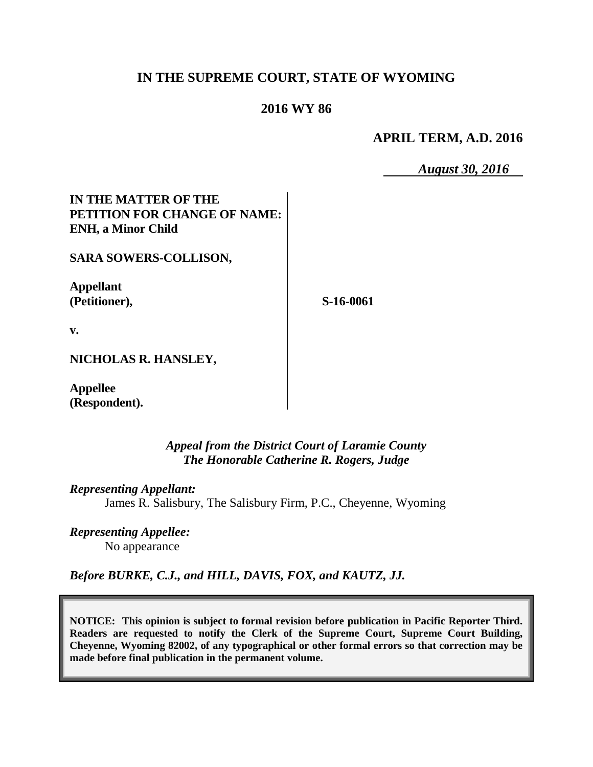## **IN THE SUPREME COURT, STATE OF WYOMING**

## **2016 WY 86**

**APRIL TERM, A.D. 2016**

*August 30, 2016*

## **IN THE MATTER OF THE PETITION FOR CHANGE OF NAME: ENH, a Minor Child**

**SARA SOWERS-COLLISON,**

**Appellant (Petitioner),**

**S-16-0061**

**v.**

**NICHOLAS R. HANSLEY,**

**Appellee (Respondent).**

> *Appeal from the District Court of Laramie County The Honorable Catherine R. Rogers, Judge*

*Representing Appellant:* James R. Salisbury, The Salisbury Firm, P.C., Cheyenne, Wyoming

*Representing Appellee:* No appearance

*Before BURKE, C.J., and HILL, DAVIS, FOX, and KAUTZ, JJ.*

**NOTICE: This opinion is subject to formal revision before publication in Pacific Reporter Third. Readers are requested to notify the Clerk of the Supreme Court, Supreme Court Building, Cheyenne, Wyoming 82002, of any typographical or other formal errors so that correction may be made before final publication in the permanent volume.**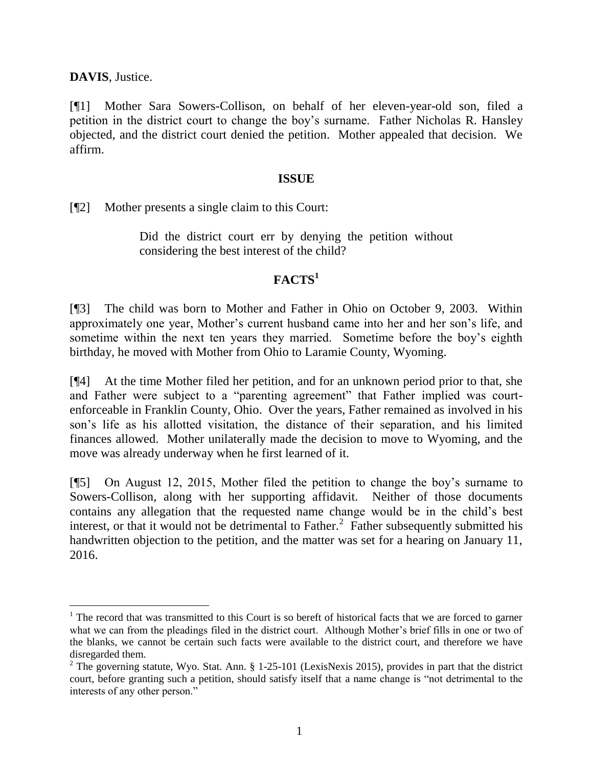**DAVIS**, Justice.

[¶1] Mother Sara Sowers-Collison, on behalf of her eleven-year-old son, filed a petition in the district court to change the boy's surname. Father Nicholas R. Hansley objected, and the district court denied the petition. Mother appealed that decision. We affirm.

#### **ISSUE**

[¶2] Mother presents a single claim to this Court:

Did the district court err by denying the petition without considering the best interest of the child?

# **FACTS<sup>1</sup>**

[¶3] The child was born to Mother and Father in Ohio on October 9, 2003. Within approximately one year, Mother's current husband came into her and her son's life, and sometime within the next ten years they married. Sometime before the boy's eighth birthday, he moved with Mother from Ohio to Laramie County, Wyoming.

[¶4] At the time Mother filed her petition, and for an unknown period prior to that, she and Father were subject to a "parenting agreement" that Father implied was courtenforceable in Franklin County, Ohio. Over the years, Father remained as involved in his son's life as his allotted visitation, the distance of their separation, and his limited finances allowed. Mother unilaterally made the decision to move to Wyoming, and the move was already underway when he first learned of it.

[¶5] On August 12, 2015, Mother filed the petition to change the boy's surname to Sowers-Collison, along with her supporting affidavit. Neither of those documents contains any allegation that the requested name change would be in the child's best interest, or that it would not be detrimental to Father.<sup>2</sup> Father subsequently submitted his handwritten objection to the petition, and the matter was set for a hearing on January 11, 2016.

<sup>&</sup>lt;sup>1</sup> The record that was transmitted to this Court is so bereft of historical facts that we are forced to garner what we can from the pleadings filed in the district court. Although Mother's brief fills in one or two of the blanks, we cannot be certain such facts were available to the district court, and therefore we have disregarded them.

<sup>&</sup>lt;sup>2</sup> The governing statute, Wyo. Stat. Ann. § 1-25-101 (LexisNexis 2015), provides in part that the district court, before granting such a petition, should satisfy itself that a name change is "not detrimental to the interests of any other person."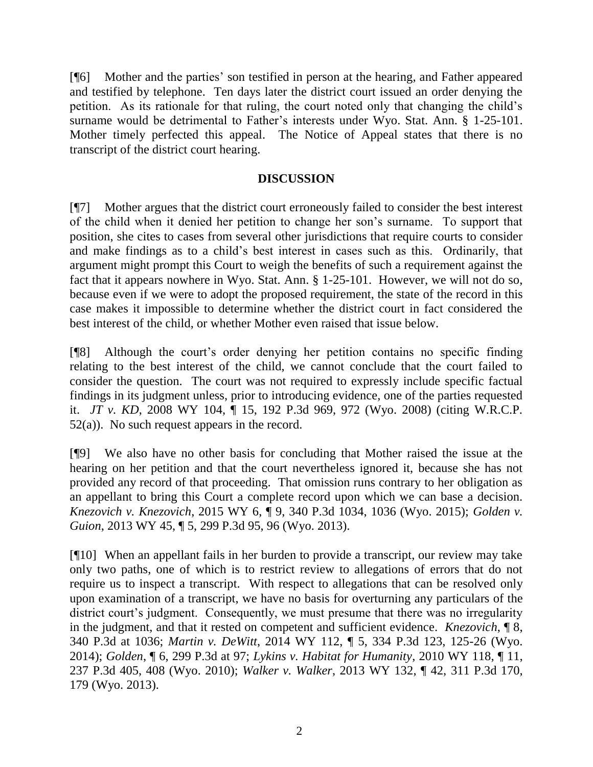[¶6] Mother and the parties' son testified in person at the hearing, and Father appeared and testified by telephone. Ten days later the district court issued an order denying the petition. As its rationale for that ruling, the court noted only that changing the child's surname would be detrimental to Father's interests under Wyo. Stat. Ann. § 1-25-101. Mother timely perfected this appeal. The Notice of Appeal states that there is no transcript of the district court hearing.

### **DISCUSSION**

[¶7] Mother argues that the district court erroneously failed to consider the best interest of the child when it denied her petition to change her son's surname. To support that position, she cites to cases from several other jurisdictions that require courts to consider and make findings as to a child's best interest in cases such as this. Ordinarily, that argument might prompt this Court to weigh the benefits of such a requirement against the fact that it appears nowhere in Wyo. Stat. Ann. § 1-25-101. However, we will not do so, because even if we were to adopt the proposed requirement, the state of the record in this case makes it impossible to determine whether the district court in fact considered the best interest of the child, or whether Mother even raised that issue below.

[¶8] Although the court's order denying her petition contains no specific finding relating to the best interest of the child, we cannot conclude that the court failed to consider the question. The court was not required to expressly include specific factual findings in its judgment unless, prior to introducing evidence, one of the parties requested it. *JT v. KD*, 2008 WY 104, ¶ 15, 192 P.3d 969, 972 (Wyo. 2008) (citing W.R.C.P.  $52(a)$ ). No such request appears in the record.

[¶9] We also have no other basis for concluding that Mother raised the issue at the hearing on her petition and that the court nevertheless ignored it, because she has not provided any record of that proceeding. That omission runs contrary to her obligation as an appellant to bring this Court a complete record upon which we can base a decision. *Knezovich v. Knezovich*, 2015 WY 6, ¶ 9, 340 P.3d 1034, 1036 (Wyo. 2015); *Golden v. Guion*, 2013 WY 45, ¶ 5, 299 P.3d 95, 96 (Wyo. 2013).

[¶10] When an appellant fails in her burden to provide a transcript, our review may take only two paths, one of which is to restrict review to allegations of errors that do not require us to inspect a transcript. With respect to allegations that can be resolved only upon examination of a transcript, we have no basis for overturning any particulars of the district court's judgment. Consequently, we must presume that there was no irregularity in the judgment, and that it rested on competent and sufficient evidence. *Knezovich*, ¶ 8, 340 P.3d at 1036; *Martin v. DeWitt*, 2014 WY 112, ¶ 5, 334 P.3d 123, 125-26 (Wyo. 2014); *Golden*, ¶ 6, 299 P.3d at 97; *Lykins v. Habitat for Humanity*, 2010 WY 118, ¶ 11, 237 P.3d 405, 408 (Wyo. 2010); *Walker v. Walker*, 2013 WY 132, ¶ 42, 311 P.3d 170, 179 (Wyo. 2013).